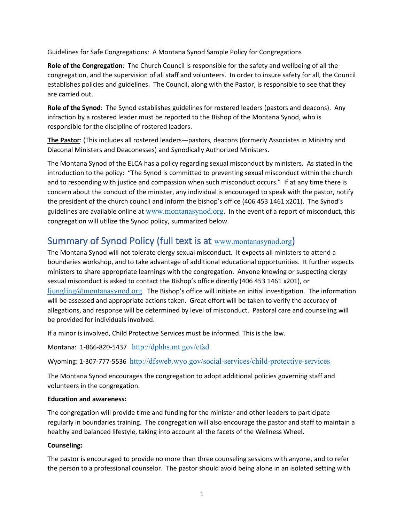Guidelines for Safe Congregations: A Montana Synod Sample Policy for Congregations

**Role of the Congregation**: The Church Council is responsible for the safety and wellbeing of all the congregation, and the supervision of all staff and volunteers. In order to insure safety for all, the Council establishes policies and guidelines. The Council, along with the Pastor, is responsible to see that they are carried out.

**Role of the Synod**: The Synod establishes guidelines for rostered leaders (pastors and deacons). Any infraction by a rostered leader must be reported to the Bishop of the Montana Synod, who is responsible for the discipline of rostered leaders.

**The Pastor**: (This includes all rostered leaders—pastors, deacons (formerly Associates in Ministry and Diaconal Ministers and Deaconesses) and Synodically Authorized Ministers.

The Montana Synod of the ELCA has a policy regarding sexual misconduct by ministers. As stated in the introduction to the policy: "The Synod is committed to preventing sexual misconduct within the church and to responding with justice and compassion when such misconduct occurs." If at any time there is concern about the conduct of the minister, any individual is encouraged to speak with the pastor, notify the president of the church council and inform the bishop's office (406 453 1461 x201). The Synod's guidelines are available online at [www.montanasynod.org](http://www.montanasynod.org/). In the event of a report of misconduct, this congregation will utilize the Synod policy, summarized below.

## Summary of Synod Policy (full text is at [www.montanasynod.org](http://www.montanasynod.org/))

The Montana Synod will not tolerate clergy sexual misconduct. It expects all ministers to attend a boundaries workshop, and to take advantage of additional educational opportunities. It further expects ministers to share appropriate learnings with the congregation. Anyone knowing or suspecting clergy sexual misconduct is asked to contact the Bishop's office directly (406 453 1461 x201), or  $\limg_{\alpha}(\partial_{\alpha})$  incontanasynod.org. The Bishop's office will initiate an initial investigation. The information will be assessed and appropriate actions taken. Great effort will be taken to verify the accuracy of allegations, and response will be determined by level of misconduct. Pastoral care and counseling will be provided for individuals involved.

If a minor is involved, Child Protective Services must be informed. This is the law.

Montana: 1-866-820-5437 <http://dphhs.mt.gov/cfsd>

Wyoming: 1-307-777-5536 <http://dfsweb.wyo.gov/social-services/child-protective-services>

The Montana Synod encourages the congregation to adopt additional policies governing staff and volunteers in the congregation.

#### **Education and awareness:**

The congregation will provide time and funding for the minister and other leaders to participate regularly in boundaries training. The congregation will also encourage the pastor and staff to maintain a healthy and balanced lifestyle, taking into account all the facets of the Wellness Wheel.

### **Counseling:**

The pastor is encouraged to provide no more than three counseling sessions with anyone, and to refer the person to a professional counselor. The pastor should avoid being alone in an isolated setting with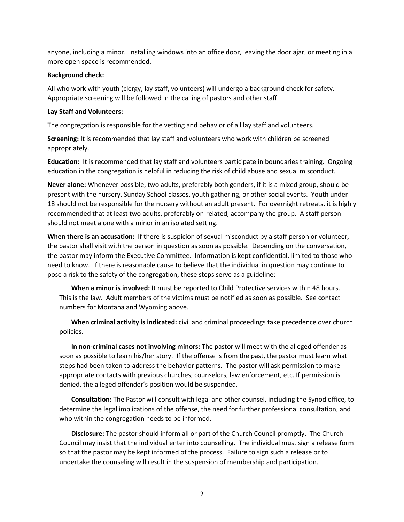anyone, including a minor. Installing windows into an office door, leaving the door ajar, or meeting in a more open space is recommended.

#### **Background check:**

All who work with youth (clergy, lay staff, volunteers) will undergo a background check for safety. Appropriate screening will be followed in the calling of pastors and other staff.

#### **Lay Staff and Volunteers:**

The congregation is responsible for the vetting and behavior of all lay staff and volunteers.

**Screening:** It is recommended that lay staff and volunteers who work with children be screened appropriately.

**Education:** It is recommended that lay staff and volunteers participate in boundaries training. Ongoing education in the congregation is helpful in reducing the risk of child abuse and sexual misconduct.

**Never alone:** Whenever possible, two adults, preferably both genders, if it is a mixed group, should be present with the nursery, Sunday School classes, youth gathering, or other social events. Youth under 18 should not be responsible for the nursery without an adult present. For overnight retreats, it is highly recommended that at least two adults, preferably on-related, accompany the group. A staff person should not meet alone with a minor in an isolated setting.

**When there is an accusation:** If there is suspicion of sexual misconduct by a staff person or volunteer, the pastor shall visit with the person in question as soon as possible. Depending on the conversation, the pastor may inform the Executive Committee. Information is kept confidential, limited to those who need to know. If there is reasonable cause to believe that the individual in question may continue to pose a risk to the safety of the congregation, these steps serve as a guideline:

**When a minor is involved:** It must be reported to Child Protective services within 48 hours. This is the law. Adult members of the victims must be notified as soon as possible. See contact numbers for Montana and Wyoming above.

**When criminal activity is indicated:** civil and criminal proceedings take precedence over church policies.

**In non-criminal cases not involving minors:** The pastor will meet with the alleged offender as soon as possible to learn his/her story. If the offense is from the past, the pastor must learn what steps had been taken to address the behavior patterns. The pastor will ask permission to make appropriate contacts with previous churches, counselors, law enforcement, etc. If permission is denied, the alleged offender's position would be suspended.

**Consultation:** The Pastor will consult with legal and other counsel, including the Synod office, to determine the legal implications of the offense, the need for further professional consultation, and who within the congregation needs to be informed.

**Disclosure:** The pastor should inform all or part of the Church Council promptly. The Church Council may insist that the individual enter into counselling. The individual must sign a release form so that the pastor may be kept informed of the process. Failure to sign such a release or to undertake the counseling will result in the suspension of membership and participation.